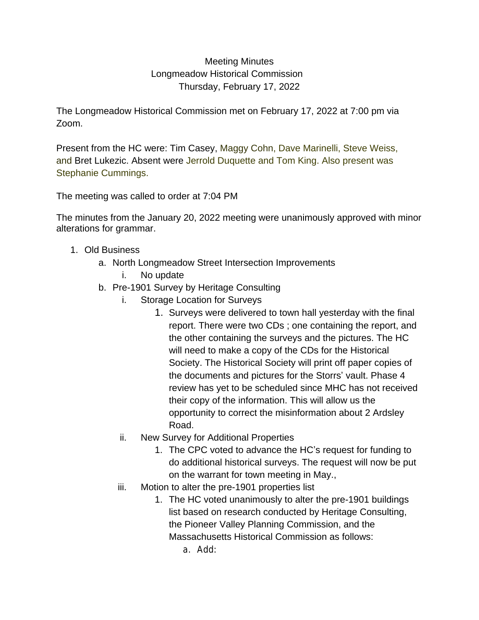## Meeting Minutes Longmeadow Historical Commission Thursday, February 17, 2022

The Longmeadow Historical Commission met on February 17, 2022 at 7:00 pm via Zoom.

Present from the HC were: Tim Casey, Maggy Cohn, Dave Marinelli, Steve Weiss, and Bret Lukezic. Absent were Jerrold Duquette and Tom King. Also present was Stephanie Cummings.

The meeting was called to order at 7:04 PM

The minutes from the January 20, 2022 meeting were unanimously approved with minor alterations for grammar.

- 1. Old Business
	- a. North Longmeadow Street Intersection Improvements
		- i. No update
	- b. Pre-1901 Survey by Heritage Consulting
		- i. Storage Location for Surveys
			- 1. Surveys were delivered to town hall yesterday with the final report. There were two CDs ; one containing the report, and the other containing the surveys and the pictures. The HC will need to make a copy of the CDs for the Historical Society. The Historical Society will print off paper copies of the documents and pictures for the Storrs' vault. Phase 4 review has yet to be scheduled since MHC has not received their copy of the information. This will allow us the opportunity to correct the misinformation about 2 Ardsley Road.
		- ii. New Survey for Additional Properties
			- 1. The CPC voted to advance the HC's request for funding to do additional historical surveys. The request will now be put on the warrant for town meeting in May.,
		- iii. Motion to alter the pre-1901 properties list
			- 1. The HC voted unanimously to alter the pre-1901 buildings list based on research conducted by Heritage Consulting, the Pioneer Valley Planning Commission, and the Massachusetts Historical Commission as follows:
				- a. Add: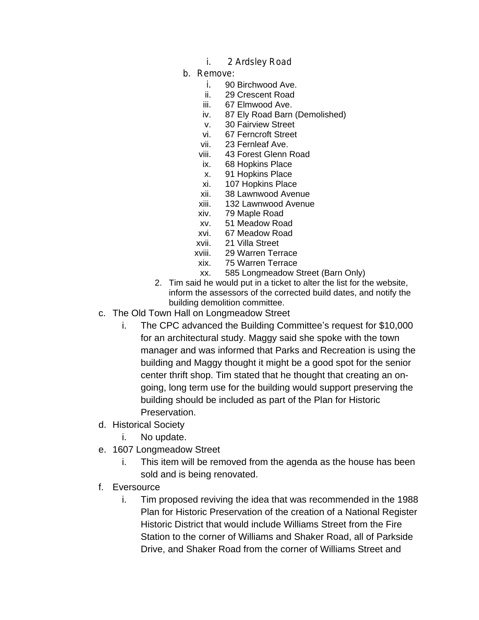- i. 2 Ardsley Road
- b. Remove:
	- i. 90 Birchwood Ave.<br>ii. 29 Crescent Road
	- 29 Crescent Road
	- iii. 67 Elmwood Ave.
	- iv. 87 Ely Road Barn (Demolished)
	- v. 30 Fairview Street
	- vi. 67 Ferncroft Street
	- vii. 23 Fernleaf Ave.
	- viii. 43 Forest Glenn Road
	- ix. 68 Hopkins Place
	- x. 91 Hopkins Place
	- xi. 107 Hopkins Place
	- xii. 38 Lawnwood Avenue
	- xiii. 132 Lawnwood Avenue
	- xiv. 79 Maple Road
	- xv. 51 Meadow Road
	- xvi. 67 Meadow Road
	- xvii. 21 Villa Street
	- xviii. 29 Warren Terrace
	- xix. 75 Warren Terrace
	- xx. 585 Longmeadow Street (Barn Only)
- 2. Tim said he would put in a ticket to alter the list for the website, inform the assessors of the corrected build dates, and notify the building demolition committee.
- c. The Old Town Hall on Longmeadow Street
	- i. The CPC advanced the Building Committee's request for \$10,000 for an architectural study. Maggy said she spoke with the town manager and was informed that Parks and Recreation is using the building and Maggy thought it might be a good spot for the senior center thrift shop. Tim stated that he thought that creating an ongoing, long term use for the building would support preserving the building should be included as part of the Plan for Historic Preservation.
- d. Historical Society
	- i. No update.
- e. 1607 Longmeadow Street
	- i. This item will be removed from the agenda as the house has been sold and is being renovated.
- f. Eversource
	- i. Tim proposed reviving the idea that was recommended in the 1988 Plan for Historic Preservation of the creation of a National Register Historic District that would include Williams Street from the Fire Station to the corner of Williams and Shaker Road, all of Parkside Drive, and Shaker Road from the corner of Williams Street and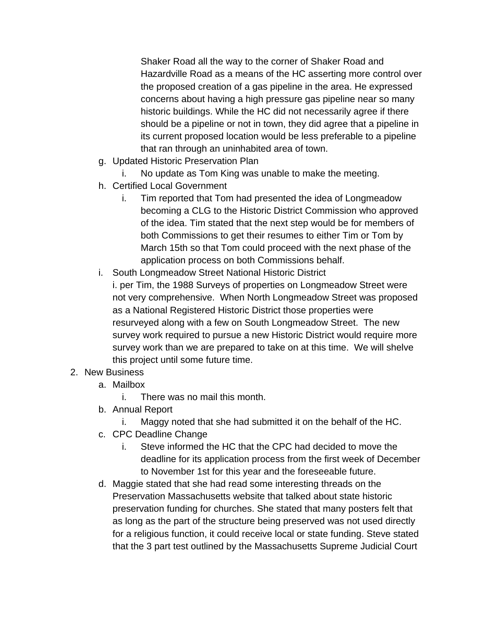Shaker Road all the way to the corner of Shaker Road and Hazardville Road as a means of the HC asserting more control over the proposed creation of a gas pipeline in the area. He expressed concerns about having a high pressure gas pipeline near so many historic buildings. While the HC did not necessarily agree if there should be a pipeline or not in town, they did agree that a pipeline in its current proposed location would be less preferable to a pipeline that ran through an uninhabited area of town.

- g. Updated Historic Preservation Plan
	- i. No update as Tom King was unable to make the meeting.
- h. Certified Local Government
	- i. Tim reported that Tom had presented the idea of Longmeadow becoming a CLG to the Historic District Commission who approved of the idea. Tim stated that the next step would be for members of both Commissions to get their resumes to either Tim or Tom by March 15th so that Tom could proceed with the next phase of the application process on both Commissions behalf.
- i. South Longmeadow Street National Historic District i. per Tim, the 1988 Surveys of properties on Longmeadow Street were not very comprehensive. When North Longmeadow Street was proposed as a National Registered Historic District those properties were resurveyed along with a few on South Longmeadow Street. The new survey work required to pursue a new Historic District would require more survey work than we are prepared to take on at this time. We will shelve this project until some future time.
- 2. New Business
	- a. Mailbox
		- i. There was no mail this month.
	- b. Annual Report
		- i. Maggy noted that she had submitted it on the behalf of the HC.
	- c. CPC Deadline Change
		- i. Steve informed the HC that the CPC had decided to move the deadline for its application process from the first week of December to November 1st for this year and the foreseeable future.
	- d. Maggie stated that she had read some interesting threads on the Preservation Massachusetts website that talked about state historic preservation funding for churches. She stated that many posters felt that as long as the part of the structure being preserved was not used directly for a religious function, it could receive local or state funding. Steve stated that the 3 part test outlined by the Massachusetts Supreme Judicial Court